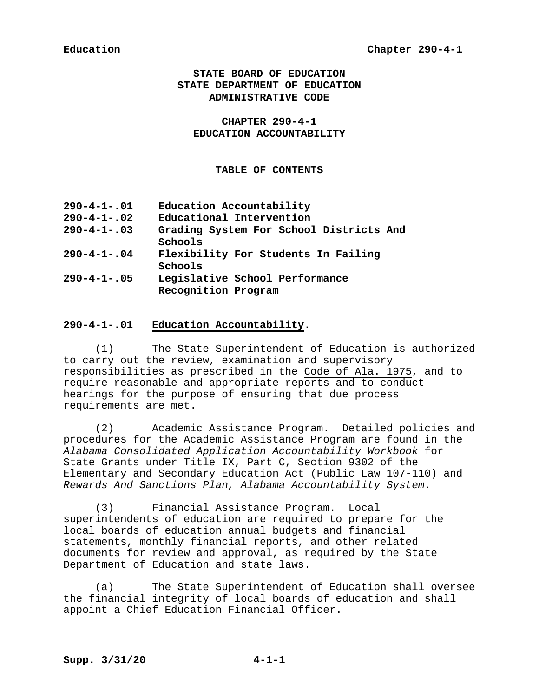# **STATE BOARD OF EDUCATION STATE DEPARTMENT OF EDUCATION ADMINISTRATIVE CODE**

## **CHAPTER 290-4-1 EDUCATION ACCOUNTABILITY**

### **TABLE OF CONTENTS**

| $290 - 4 - 1 - 01$  | Education Accountability                              |
|---------------------|-------------------------------------------------------|
| $290 - 4 - 1 - .02$ | Educational Intervention                              |
| $290 - 4 - 1 - .03$ | Grading System For School Districts And<br>Schools    |
| $290 - 4 - 1 - 04$  | Flexibility For Students In Failing<br>Schools        |
| $290 - 4 - 1 - 05$  | Legislative School Performance<br>Recognition Program |

## **290-4-1-.01 Education Accountability.**

(1) The State Superintendent of Education is authorized to carry out the review, examination and supervisory responsibilities as prescribed in the Code of Ala. 1975, and to require reasonable and appropriate reports and to conduct hearings for the purpose of ensuring that due process requirements are met.

(2) Academic Assistance Program. Detailed policies and procedures for the Academic Assistance Program are found in the *Alabama Consolidated Application Accountability Workbook* for State Grants under Title IX, Part C, Section 9302 of the Elementary and Secondary Education Act (Public Law 107-110) and *Rewards And Sanctions Plan, Alabama Accountability System*.

(3) Financial Assistance Program. Local superintendents of education are required to prepare for the local boards of education annual budgets and financial statements, monthly financial reports, and other related documents for review and approval, as required by the State Department of Education and state laws.

(a) The State Superintendent of Education shall oversee the financial integrity of local boards of education and shall appoint a Chief Education Financial Officer.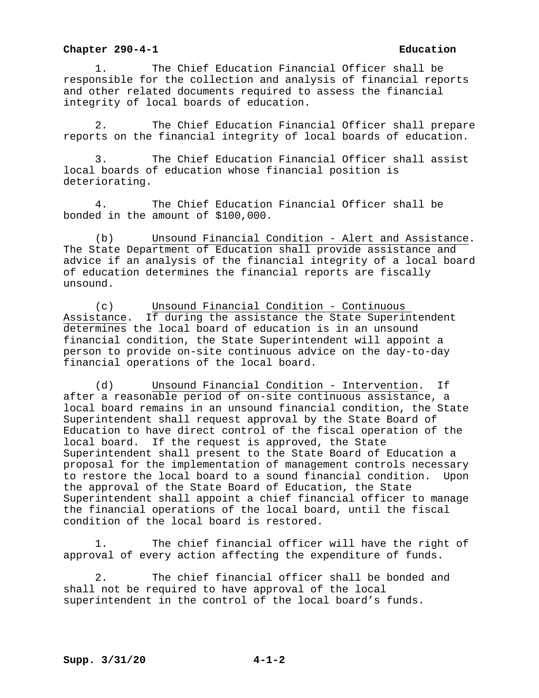The Chief Education Financial Officer shall be responsible for the collection and analysis of financial reports and other related documents required to assess the financial integrity of local boards of education.

2. The Chief Education Financial Officer shall prepare reports on the financial integrity of local boards of education.

3. The Chief Education Financial Officer shall assist local boards of education whose financial position is deteriorating.

4. The Chief Education Financial Officer shall be bonded in the amount of \$100,000.

(b) Unsound Financial Condition - Alert and Assistance. The State Department of Education shall provide assistance and advice if an analysis of the financial integrity of a local board of education determines the financial reports are fiscally unsound.

(c) Unsound Financial Condition - Continuous Assistance. If during the assistance the State Superintendent determines the local board of education is in an unsound financial condition, the State Superintendent will appoint a person to provide on-site continuous advice on the day-to-day financial operations of the local board.

(d) Unsound Financial Condition - Intervention. If after a reasonable period of on-site continuous assistance, a local board remains in an unsound financial condition, the State Superintendent shall request approval by the State Board of Education to have direct control of the fiscal operation of the local board. If the request is approved, the State Superintendent shall present to the State Board of Education a proposal for the implementation of management controls necessary<br>to restore the local board to a sound financial condition. Upon to restore the local board to a sound financial condition. the approval of the State Board of Education, the State Superintendent shall appoint a chief financial officer to manage the financial operations of the local board, until the fiscal condition of the local board is restored.

1. The chief financial officer will have the right of approval of every action affecting the expenditure of funds.

2. The chief financial officer shall be bonded and shall not be required to have approval of the local superintendent in the control of the local board's funds.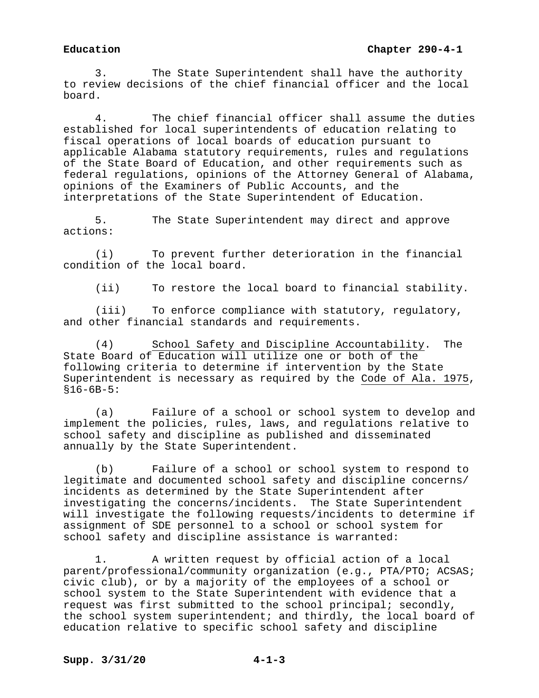3. The State Superintendent shall have the authority to review decisions of the chief financial officer and the local board.

4. The chief financial officer shall assume the duties established for local superintendents of education relating to fiscal operations of local boards of education pursuant to applicable Alabama statutory requirements, rules and regulations of the State Board of Education, and other requirements such as federal regulations, opinions of the Attorney General of Alabama, opinions of the Examiners of Public Accounts, and the interpretations of the State Superintendent of Education.

5. The State Superintendent may direct and approve actions:

(i) To prevent further deterioration in the financial condition of the local board.

(ii) To restore the local board to financial stability.

(iii) To enforce compliance with statutory, regulatory, and other financial standards and requirements.

(4) School Safety and Discipline Accountability. The State Board of Education will utilize one or both of the following criteria to determine if intervention by the State Superintendent is necessary as required by the Code of Ala. 1975, §16-6B-5:

(a) Failure of a school or school system to develop and implement the policies, rules, laws, and regulations relative to school safety and discipline as published and disseminated annually by the State Superintendent.

(b) Failure of a school or school system to respond to legitimate and documented school safety and discipline concerns/ incidents as determined by the State Superintendent after investigating the concerns/incidents. The State Superintendent will investigate the following requests/incidents to determine if assignment of SDE personnel to a school or school system for school safety and discipline assistance is warranted:

1. A written request by official action of a local parent/professional/community organization (e.g., PTA/PTO; ACSAS; civic club), or by a majority of the employees of a school or school system to the State Superintendent with evidence that a request was first submitted to the school principal; secondly, the school system superintendent; and thirdly, the local board of education relative to specific school safety and discipline

**Supp. 3/31/20 4-1-3**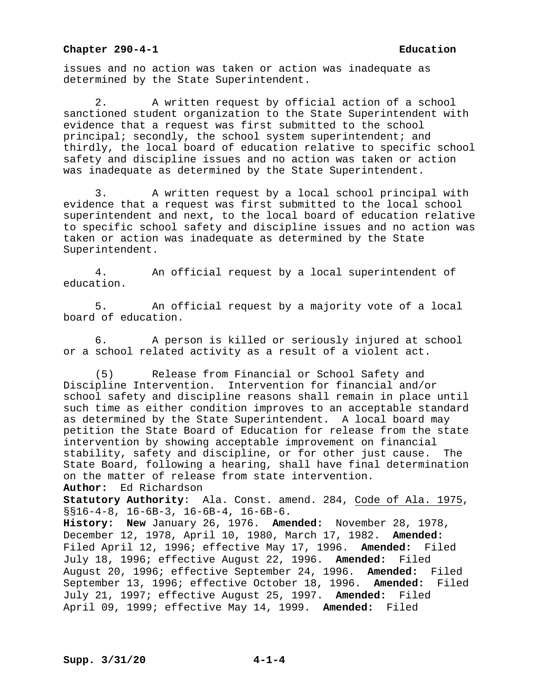issues and no action was taken or action was inadequate as determined by the State Superintendent.

2. A written request by official action of a school sanctioned student organization to the State Superintendent with evidence that a request was first submitted to the school principal; secondly, the school system superintendent; and thirdly, the local board of education relative to specific school safety and discipline issues and no action was taken or action was inadequate as determined by the State Superintendent.

3. A written request by a local school principal with evidence that a request was first submitted to the local school superintendent and next, to the local board of education relative to specific school safety and discipline issues and no action was taken or action was inadequate as determined by the State Superintendent.

4. An official request by a local superintendent of education.

5. An official request by a majority vote of a local board of education.

6. A person is killed or seriously injured at school or a school related activity as a result of a violent act.

(5) Release from Financial or School Safety and Discipline Intervention. Intervention for financial and/or school safety and discipline reasons shall remain in place until such time as either condition improves to an acceptable standard as determined by the State Superintendent. A local board may petition the State Board of Education for release from the state intervention by showing acceptable improvement on financial stability, safety and discipline, or for other just cause. The State Board, following a hearing, shall have final determination on the matter of release from state intervention. **Author:** Ed Richardson

**Statutory Authority**: Ala. Const. amend. 284, Code of Ala. 1975, §§16-4-8, 16-6B-3, 16-6B-4, 16-6B-6.

**History: New** January 26, 1976. **Amended:** November 28, 1978, December 12, 1978, April 10, 1980, March 17, 1982. **Amended:** Filed April 12, 1996; effective May 17, 1996. **Amended:** Filed July 18, 1996; effective August 22, 1996. **Amended:** Filed August 20, 1996; effective September 24, 1996. Amended: September 13, 1996; effective October 18, 1996. **Amended:** Filed July 21, 1997; effective August 25, 1997. **Amended:** Filed April 09, 1999; effective May 14, 1999. **Amended:** Filed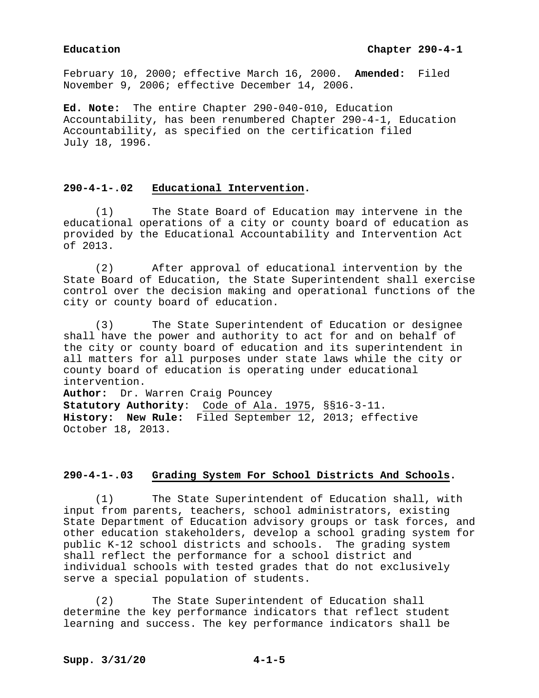February 10, 2000; effective March 16, 2000. **Amended:** Filed November 9, 2006; effective December 14, 2006.

**Ed. Note:** The entire Chapter 290-040-010, Education Accountability, has been renumbered Chapter 290-4-1, Education Accountability, as specified on the certification filed July 18, 1996.

### **290-4-1-.02 Educational Intervention.**

(1) The State Board of Education may intervene in the educational operations of a city or county board of education as provided by the Educational Accountability and Intervention Act of 2013.

(2) After approval of educational intervention by the State Board of Education, the State Superintendent shall exercise control over the decision making and operational functions of the city or county board of education.

(3) The State Superintendent of Education or designee shall have the power and authority to act for and on behalf of the city or county board of education and its superintendent in all matters for all purposes under state laws while the city or county board of education is operating under educational intervention.

**Author:** Dr. Warren Craig Pouncey **Statutory Authority**: Code of Ala. 1975, §§16-3-11. **History: New Rule:** Filed September 12, 2013; effective October 18, 2013.

## **290-4-1-.03 Grading System For School Districts And Schools.**

(1) The State Superintendent of Education shall, with input from parents, teachers, school administrators, existing State Department of Education advisory groups or task forces, and other education stakeholders, develop a school grading system for public K-12 school districts and schools. The grading system shall reflect the performance for a school district and individual schools with tested grades that do not exclusively serve a special population of students.

(2) The State Superintendent of Education shall determine the key performance indicators that reflect student learning and success. The key performance indicators shall be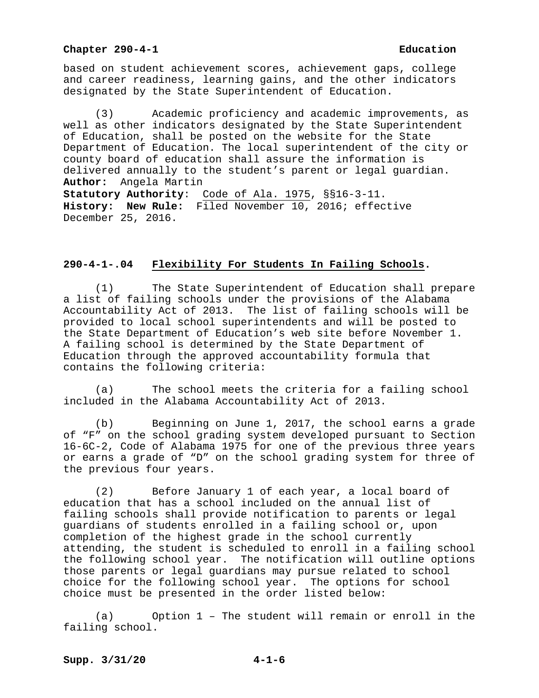based on student achievement scores, achievement gaps, college and career readiness, learning gains, and the other indicators designated by the State Superintendent of Education.

(3) Academic proficiency and academic improvements, as well as other indicators designated by the State Superintendent of Education, shall be posted on the website for the State Department of Education. The local superintendent of the city or county board of education shall assure the information is delivered annually to the student's parent or legal guardian. **Author:** Angela Martin **Statutory Authority**: Code of Ala. 1975, §§16-3-11. **History: New Rule:** Filed November 10, 2016; effective December 25, 2016.

## **290-4-1-.04 Flexibility For Students In Failing Schools.**

(1) The State Superintendent of Education shall prepare a list of failing schools under the provisions of the Alabama Accountability Act of 2013. The list of failing schools will be provided to local school superintendents and will be posted to the State Department of Education's web site before November 1. A failing school is determined by the State Department of Education through the approved accountability formula that contains the following criteria:

(a) The school meets the criteria for a failing school included in the Alabama Accountability Act of 2013.

(b) Beginning on June 1, 2017, the school earns a grade of "F" on the school grading system developed pursuant to Section 16-6C-2, Code of Alabama 1975 for one of the previous three years or earns a grade of "D" on the school grading system for three of the previous four years.

(2) Before January 1 of each year, a local board of education that has a school included on the annual list of failing schools shall provide notification to parents or legal guardians of students enrolled in a failing school or, upon completion of the highest grade in the school currently attending, the student is scheduled to enroll in a failing school the following school year. The notification will outline options those parents or legal guardians may pursue related to school choice for the following school year. The options for school choice must be presented in the order listed below:

(a) Option 1 – The student will remain or enroll in the failing school.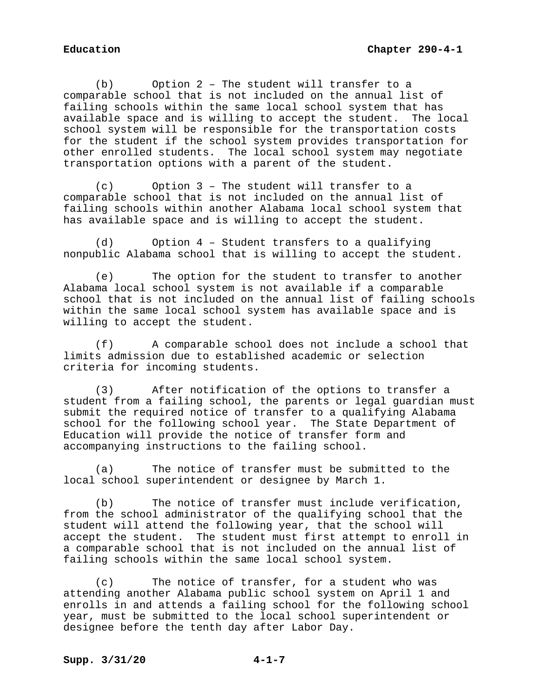(b) Option 2 – The student will transfer to a comparable school that is not included on the annual list of failing schools within the same local school system that has available space and is willing to accept the student. The local school system will be responsible for the transportation costs for the student if the school system provides transportation for other enrolled students. The local school system may negotiate transportation options with a parent of the student.

(c) Option 3 – The student will transfer to a comparable school that is not included on the annual list of failing schools within another Alabama local school system that has available space and is willing to accept the student.

(d) Option 4 – Student transfers to a qualifying nonpublic Alabama school that is willing to accept the student.

(e) The option for the student to transfer to another Alabama local school system is not available if a comparable school that is not included on the annual list of failing schools within the same local school system has available space and is willing to accept the student.

(f) A comparable school does not include a school that limits admission due to established academic or selection criteria for incoming students.

(3) After notification of the options to transfer a student from a failing school, the parents or legal guardian must submit the required notice of transfer to a qualifying Alabama school for the following school year. The State Department of Education will provide the notice of transfer form and accompanying instructions to the failing school.

(a) The notice of transfer must be submitted to the local school superintendent or designee by March 1.

(b) The notice of transfer must include verification, from the school administrator of the qualifying school that the student will attend the following year, that the school will accept the student. The student must first attempt to enroll in a comparable school that is not included on the annual list of failing schools within the same local school system.

(c) The notice of transfer, for a student who was attending another Alabama public school system on April 1 and enrolls in and attends a failing school for the following school year, must be submitted to the local school superintendent or designee before the tenth day after Labor Day.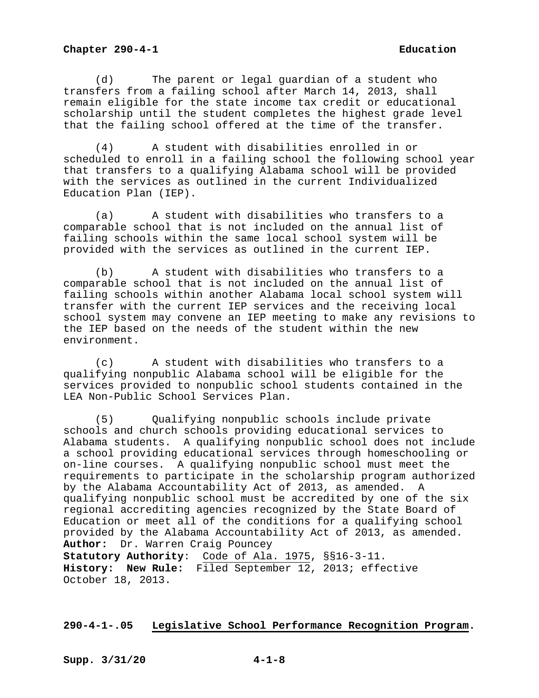(d) The parent or legal guardian of a student who transfers from a failing school after March 14, 2013, shall remain eligible for the state income tax credit or educational scholarship until the student completes the highest grade level that the failing school offered at the time of the transfer.

(4) A student with disabilities enrolled in or scheduled to enroll in a failing school the following school year that transfers to a qualifying Alabama school will be provided with the services as outlined in the current Individualized Education Plan (IEP).

(a) A student with disabilities who transfers to a comparable school that is not included on the annual list of failing schools within the same local school system will be provided with the services as outlined in the current IEP.

(b) A student with disabilities who transfers to a comparable school that is not included on the annual list of failing schools within another Alabama local school system will transfer with the current IEP services and the receiving local school system may convene an IEP meeting to make any revisions to the IEP based on the needs of the student within the new environment.

(c) A student with disabilities who transfers to a qualifying nonpublic Alabama school will be eligible for the services provided to nonpublic school students contained in the LEA Non-Public School Services Plan.

(5) Qualifying nonpublic schools include private schools and church schools providing educational services to Alabama students. A qualifying nonpublic school does not include a school providing educational services through homeschooling or on-line courses. A qualifying nonpublic school must meet the requirements to participate in the scholarship program authorized by the Alabama Accountability Act of 2013, as amended. A qualifying nonpublic school must be accredited by one of the six regional accrediting agencies recognized by the State Board of Education or meet all of the conditions for a qualifying school provided by the Alabama Accountability Act of 2013, as amended. **Author:** Dr. Warren Craig Pouncey **Statutory Authority**: Code of Ala. 1975, §§16-3-11. **History: New Rule:** Filed September 12, 2013; effective October 18, 2013.

**290-4-1-.05 Legislative School Performance Recognition Program.**